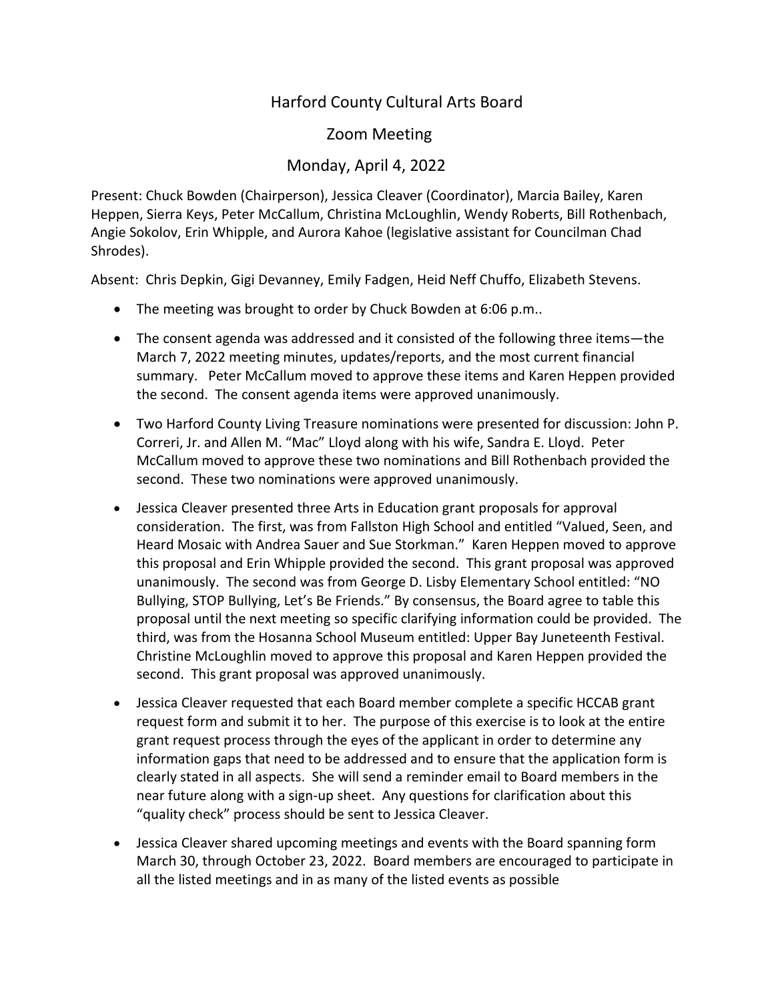## Harford County Cultural Arts Board

## Zoom Meeting

## Monday, April 4, 2022

Present: Chuck Bowden (Chairperson), Jessica Cleaver (Coordinator), Marcia Bailey, Karen Heppen, Sierra Keys, Peter McCallum, Christina McLoughlin, Wendy Roberts, Bill Rothenbach, Angie Sokolov, Erin Whipple, and Aurora Kahoe (legislative assistant for Councilman Chad Shrodes).

Absent: Chris Depkin, Gigi Devanney, Emily Fadgen, Heid Neff Chuffo, Elizabeth Stevens.

- The meeting was brought to order by Chuck Bowden at 6:06 p.m..
- The consent agenda was addressed and it consisted of the following three items—the March 7, 2022 meeting minutes, updates/reports, and the most current financial summary. Peter McCallum moved to approve these items and Karen Heppen provided the second. The consent agenda items were approved unanimously.
- Two Harford County Living Treasure nominations were presented for discussion: John P. Correri, Jr. and Allen M. "Mac" Lloyd along with his wife, Sandra E. Lloyd. Peter McCallum moved to approve these two nominations and Bill Rothenbach provided the second. These two nominations were approved unanimously.
- Jessica Cleaver presented three Arts in Education grant proposals for approval consideration. The first, was from Fallston High School and entitled "Valued, Seen, and Heard Mosaic with Andrea Sauer and Sue Storkman." Karen Heppen moved to approve this proposal and Erin Whipple provided the second. This grant proposal was approved unanimously. The second was from George D. Lisby Elementary School entitled: "NO Bullying, STOP Bullying, Let's Be Friends." By consensus, the Board agree to table this proposal until the next meeting so specific clarifying information could be provided. The third, was from the Hosanna School Museum entitled: Upper Bay Juneteenth Festival. Christine McLoughlin moved to approve this proposal and Karen Heppen provided the second. This grant proposal was approved unanimously.
- Jessica Cleaver requested that each Board member complete a specific HCCAB grant request form and submit it to her. The purpose of this exercise is to look at the entire grant request process through the eyes of the applicant in order to determine any information gaps that need to be addressed and to ensure that the application form is clearly stated in all aspects. She will send a reminder email to Board members in the near future along with a sign-up sheet. Any questions for clarification about this "quality check" process should be sent to Jessica Cleaver.
- Jessica Cleaver shared upcoming meetings and events with the Board spanning form March 30, through October 23, 2022. Board members are encouraged to participate in all the listed meetings and in as many of the listed events as possible